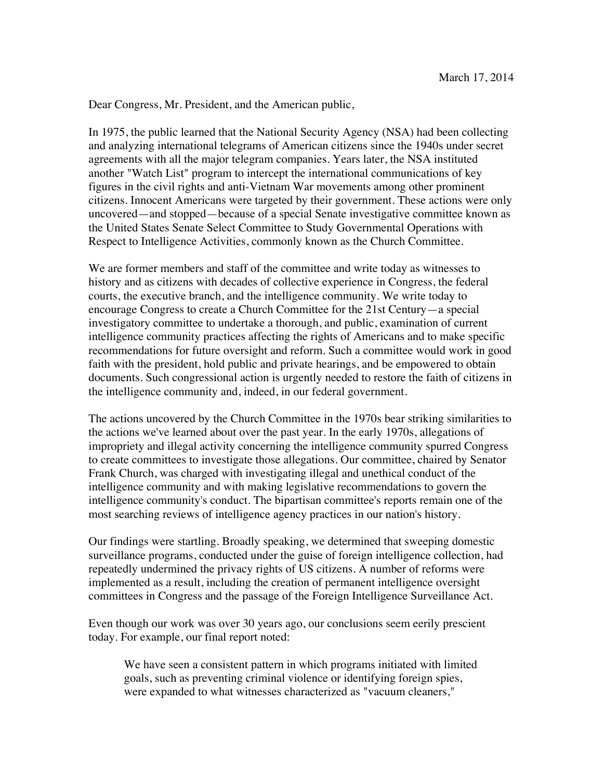Dear Congress, Mr. President, and the American public,

In 1975, the public learned that the National Security Agency (NSA) had been collecting and analyzing international telegrams of American citizens since the 1940s under secret agreements with all the major telegram companies. Years later, the NSA instituted another "Watch List" program to intercept the international communications of key figures in the civil rights and anti-Vietnam War movements among other prominent citizens. Innocent Americans were targeted by their government. These actions were only uncovered—and stopped—because of a special Senate investigative committee known as the United States Senate Select Committee to Study Governmental Operations with Respect to Intelligence Activities, commonly known as the Church Committee.

We are former members and staff of the committee and write today as witnesses to history and as citizens with decades of collective experience in Congress, the federal courts, the executive branch, and the intelligence community. We write today to encourage Congress to create a Church Committee for the 21st Century—a special investigatory committee to undertake a thorough, and public, examination of current intelligence community practices affecting the rights of Americans and to make specific recommendations for future oversight and reform. Such a committee would work in good faith with the president, hold public and private hearings, and be empowered to obtain documents. Such congressional action is urgently needed to restore the faith of citizens in the intelligence community and, indeed, in our federal government.

The actions uncovered by the Church Committee in the 1970s bear striking similarities to the actions we've learned about over the past year. In the early 1970s, allegations of impropriety and illegal activity concerning the intelligence community spurred Congress to create committees to investigate those allegations. Our committee, chaired by Senator Frank Church, was charged with investigating illegal and unethical conduct of the intelligence community and with making legislative recommendations to govern the intelligence community's conduct. The bipartisan committee's reports remain one of the most searching reviews of intelligence agency practices in our nation's history.

Our findings were startling. Broadly speaking, we determined that sweeping domestic surveillance programs, conducted under the guise of foreign intelligence collection, had repeatedly undermined the privacy rights of US citizens. A number of reforms were implemented as a result, including the creation of permanent intelligence oversight committees in Congress and the passage of the Foreign Intelligence Surveillance Act.

Even though our work was over 30 years ago, our conclusions seem eerily prescient today. For example, our final report noted:

We have seen a consistent pattern in which programs initiated with limited goals, such as preventing criminal violence or identifying foreign spies, were expanded to what witnesses characterized as "vacuum cleaners,"